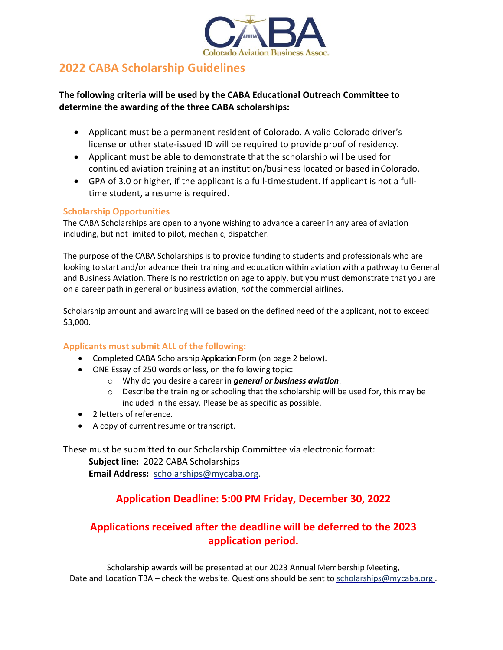

## **2022 CABA Scholarship Guidelines**

### **The following criteria will be used by the CABA Educational Outreach Committee to determine the awarding of the three CABA scholarships:**

- Applicant must be a permanent resident of Colorado. A valid Colorado driver's license or other state-issued ID will be required to provide proof of residency.
- Applicant must be able to demonstrate that the scholarship will be used for continued aviation training at an institution/business located or based in Colorado.
- GPA of 3.0 or higher, if the applicant is a full-time student. If applicant is not a fulltime student, a resume is required.

#### **Scholarship Opportunities**

The CABA Scholarships are open to anyone wishing to advance a career in any area of aviation including, but not limited to pilot, mechanic, dispatcher.

The purpose of the CABA Scholarships is to provide funding to students and professionals who are looking to start and/or advance their training and education within aviation with a pathway to General and Business Aviation. There is no restriction on age to apply, but you must demonstrate that you are on a career path in general or business aviation, *not* the commercial airlines.

Scholarship amount and awarding will be based on the defined need of the applicant, not to exceed \$3,000.

#### **Applicants must submit ALL of the following:**

- Completed CABA Scholarship Application Form (on page 2 below).
- ONE Essay of 250 words orless, on the following topic:
	- o Why do you desire a career in *general or business aviation*.
	- $\circ$  Describe the training or schooling that the scholarship will be used for, this may be included in the essay. Please be as specific as possible.
- 2 letters of reference.
- A copy of current resume or transcript.

These must be submitted to our Scholarship Committee via electronic format: **Subject line:** 2022 CABA Scholarships **Email Address:** [scholarships@mycaba.org.](mailto:scholarships@mycaba.org)

## **Application Deadline: 5:00 PM Friday, December 30, 2022**

## **Applications received after the deadline will be deferred to the 2023 application period.**

Scholarship awards will be presented at our 2023 Annual Membership Meeting, Date and Location TBA – check the website. Questions should be sent to scholarships@mycaba.org.